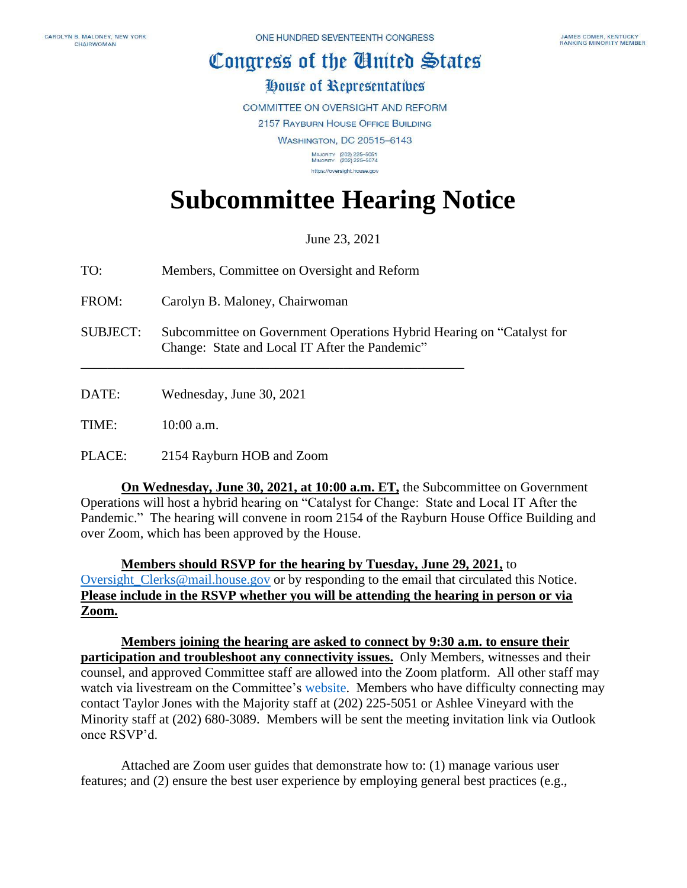## Congress of the Cluited States

## House of Representatives

**COMMITTEE ON OVERSIGHT AND REFORM** 

2157 RAYBURN HOUSE OFFICE BUILDING

**WASHINGTON, DC 20515-6143** 

MAJORITY (202) 225-5051<br>MINORITY (202) 225-5074 https://oversight.house.gov

## **Subcommittee Hearing Notice**

June 23, 2021

TO: Members, Committee on Oversight and Reform

\_\_\_\_\_\_\_\_\_\_\_\_\_\_\_\_\_\_\_\_\_\_\_\_\_\_\_\_\_\_\_\_\_\_\_\_\_\_\_\_\_\_\_\_\_\_\_\_\_\_\_\_\_\_\_\_\_

FROM: Carolyn B. Maloney, Chairwoman

SUBJECT: Subcommittee on Government Operations Hybrid Hearing on "Catalyst for Change: State and Local IT After the Pandemic"

DATE: Wednesday, June 30, 2021

TIME: 10:00 a.m.

PLACE: 2154 Rayburn HOB and Zoom

**On Wednesday, June 30, 2021, at 10:00 a.m. ET,** the Subcommittee on Government Operations will host a hybrid hearing on "Catalyst for Change: State and Local IT After the Pandemic." The hearing will convene in room 2154 of the Rayburn House Office Building and over Zoom, which has been approved by the House.

**Members should RSVP for the hearing by Tuesday, June 29, 2021,** to Oversight Clerks@mail.house.gov or by responding to the email that circulated this Notice. **Please include in the RSVP whether you will be attending the hearing in person or via Zoom.**

**Members joining the hearing are asked to connect by 9:30 a.m. to ensure their participation and troubleshoot any connectivity issues.** Only Members, witnesses and their counsel, and approved Committee staff are allowed into the Zoom platform. All other staff may watch via livestream on the Committee's [website.](https://oversight.house.gov/legislation/hearings) Members who have difficulty connecting may contact Taylor Jones with the Majority staff at (202) 225-5051 or Ashlee Vineyard with the Minority staff at (202) 680-3089. Members will be sent the meeting invitation link via Outlook once RSVP'd.

Attached are Zoom user guides that demonstrate how to: (1) manage various user features; and (2) ensure the best user experience by employing general best practices (e.g.,